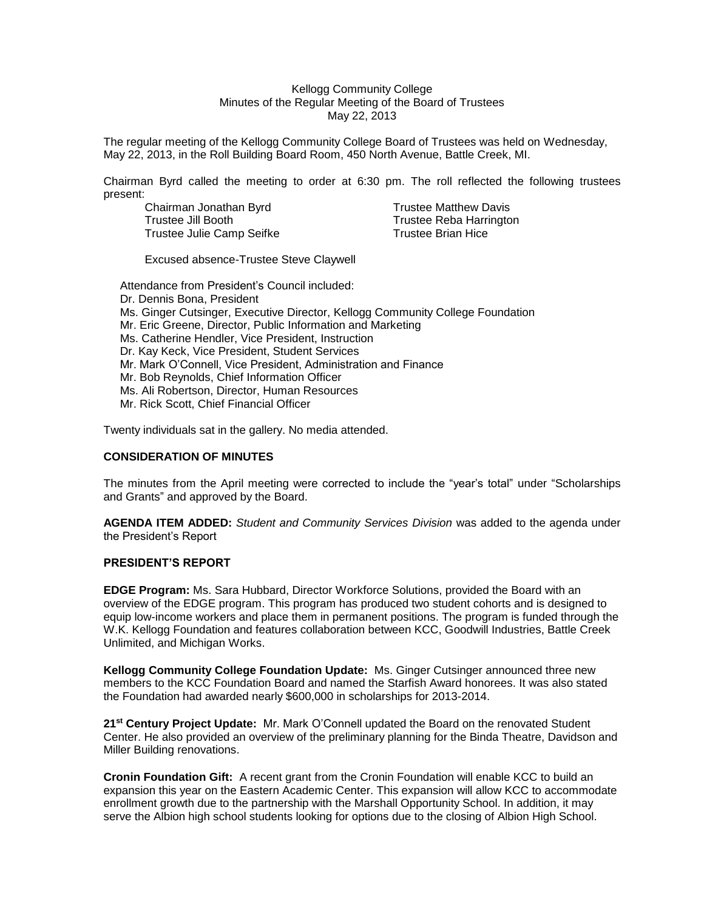#### Kellogg Community College Minutes of the Regular Meeting of the Board of Trustees May 22, 2013

The regular meeting of the Kellogg Community College Board of Trustees was held on Wednesday, May 22, 2013, in the Roll Building Board Room, 450 North Avenue, Battle Creek, MI.

Chairman Byrd called the meeting to order at 6:30 pm. The roll reflected the following trustees present:

Chairman Jonathan Byrd Trustee Matthew Davis Trustee Jill Booth Trustee Reba Harrington Trustee Julie Camp Seifke Trustee Brian Hice

Excused absence-Trustee Steve Claywell

Attendance from President's Council included: Dr. Dennis Bona, President Ms. Ginger Cutsinger, Executive Director, Kellogg Community College Foundation Mr. Eric Greene, Director, Public Information and Marketing Ms. Catherine Hendler, Vice President, Instruction Dr. Kay Keck, Vice President, Student Services Mr. Mark O'Connell, Vice President, Administration and Finance Mr. Bob Reynolds, Chief Information Officer Ms. Ali Robertson, Director, Human Resources Mr. Rick Scott, Chief Financial Officer

Twenty individuals sat in the gallery. No media attended.

## **CONSIDERATION OF MINUTES**

The minutes from the April meeting were corrected to include the "year's total" under "Scholarships and Grants" and approved by the Board.

**AGENDA ITEM ADDED:** *Student and Community Services Division* was added to the agenda under the President's Report

## **PRESIDENT'S REPORT**

**EDGE Program:** Ms. Sara Hubbard, Director Workforce Solutions, provided the Board with an overview of the EDGE program. This program has produced two student cohorts and is designed to equip low-income workers and place them in permanent positions. The program is funded through the W.K. Kellogg Foundation and features collaboration between KCC, Goodwill Industries, Battle Creek Unlimited, and Michigan Works.

**Kellogg Community College Foundation Update:** Ms. Ginger Cutsinger announced three new members to the KCC Foundation Board and named the Starfish Award honorees. It was also stated the Foundation had awarded nearly \$600,000 in scholarships for 2013-2014.

**21st Century Project Update:** Mr. Mark O'Connell updated the Board on the renovated Student Center. He also provided an overview of the preliminary planning for the Binda Theatre, Davidson and Miller Building renovations.

**Cronin Foundation Gift:** A recent grant from the Cronin Foundation will enable KCC to build an expansion this year on the Eastern Academic Center. This expansion will allow KCC to accommodate enrollment growth due to the partnership with the Marshall Opportunity School. In addition, it may serve the Albion high school students looking for options due to the closing of Albion High School.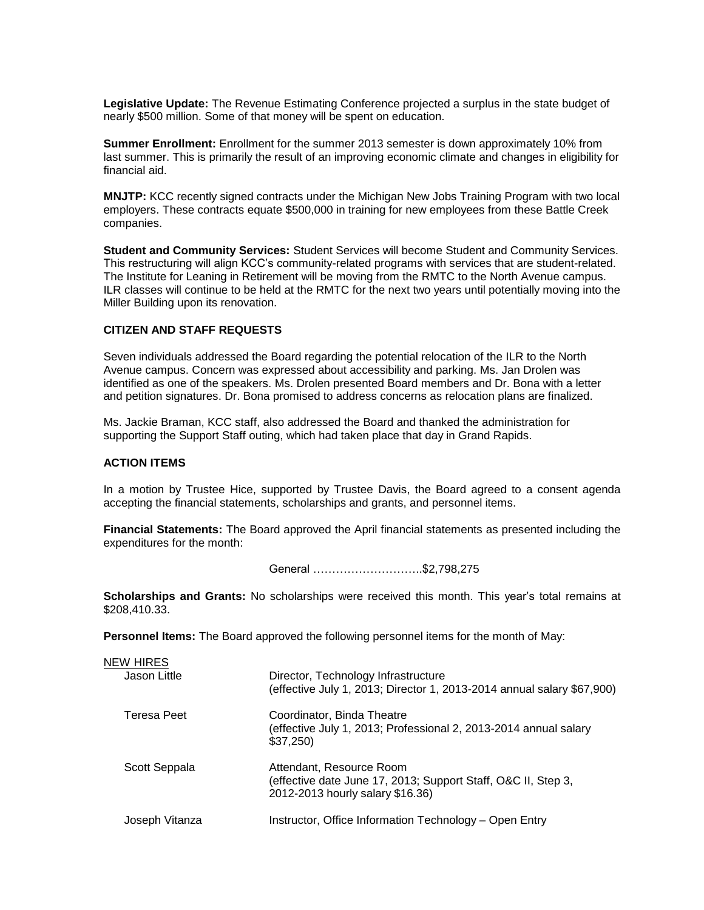**Legislative Update:** The Revenue Estimating Conference projected a surplus in the state budget of nearly \$500 million. Some of that money will be spent on education.

**Summer Enrollment:** Enrollment for the summer 2013 semester is down approximately 10% from last summer. This is primarily the result of an improving economic climate and changes in eligibility for financial aid.

**MNJTP:** KCC recently signed contracts under the Michigan New Jobs Training Program with two local employers. These contracts equate \$500,000 in training for new employees from these Battle Creek companies.

**Student and Community Services:** Student Services will become Student and Community Services. This restructuring will align KCC's community-related programs with services that are student-related. The Institute for Leaning in Retirement will be moving from the RMTC to the North Avenue campus. ILR classes will continue to be held at the RMTC for the next two years until potentially moving into the Miller Building upon its renovation.

## **CITIZEN AND STAFF REQUESTS**

Seven individuals addressed the Board regarding the potential relocation of the ILR to the North Avenue campus. Concern was expressed about accessibility and parking. Ms. Jan Drolen was identified as one of the speakers. Ms. Drolen presented Board members and Dr. Bona with a letter and petition signatures. Dr. Bona promised to address concerns as relocation plans are finalized.

Ms. Jackie Braman, KCC staff, also addressed the Board and thanked the administration for supporting the Support Staff outing, which had taken place that day in Grand Rapids.

#### **ACTION ITEMS**

In a motion by Trustee Hice, supported by Trustee Davis, the Board agreed to a consent agenda accepting the financial statements, scholarships and grants, and personnel items.

**Financial Statements:** The Board approved the April financial statements as presented including the expenditures for the month:

General ………………………..\$2,798,275

**Scholarships and Grants:** No scholarships were received this month. This year's total remains at \$208,410.33.

**Personnel Items:** The Board approved the following personnel items for the month of May:

| <b>NEW HIRES</b> |                                                                                                                               |
|------------------|-------------------------------------------------------------------------------------------------------------------------------|
| Jason Little     | Director, Technology Infrastructure<br>(effective July 1, 2013; Director 1, 2013-2014 annual salary \$67,900)                 |
| Teresa Peet      | Coordinator, Binda Theatre<br>(effective July 1, 2013; Professional 2, 2013-2014 annual salary<br>\$37,250                    |
| Scott Seppala    | Attendant, Resource Room<br>(effective date June 17, 2013; Support Staff, O&C II, Step 3,<br>2012-2013 hourly salary \$16.36) |
| Joseph Vitanza   | Instructor, Office Information Technology - Open Entry                                                                        |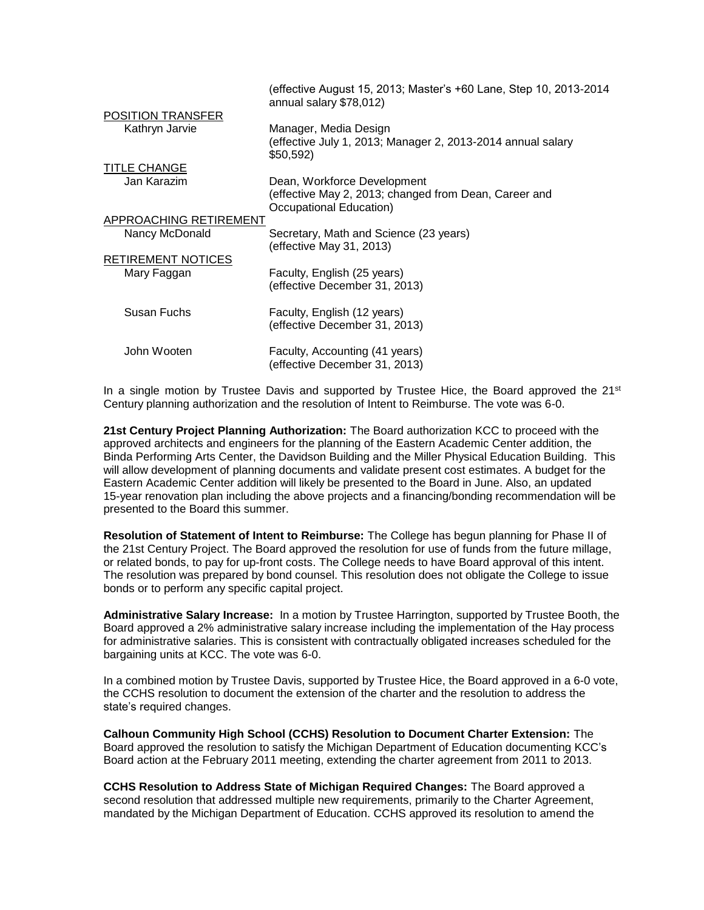|                           | (effective August 15, 2013; Master's +60 Lane, Step 10, 2013-2014<br>annual salary \$78,012)                    |
|---------------------------|-----------------------------------------------------------------------------------------------------------------|
| <b>POSITION TRANSFER</b>  |                                                                                                                 |
| Kathryn Jarvie            | Manager, Media Design<br>effective July 1, 2013; Manager 2, 2013-2014 annual salary<br>\$50,592)                |
| <b>TITLE CHANGE</b>       |                                                                                                                 |
| Jan Karazim               | Dean, Workforce Development<br>(effective May 2, 2013; changed from Dean, Career and<br>Occupational Education) |
| APPROACHING RETIREMENT    |                                                                                                                 |
| Nancy McDonald            | Secretary, Math and Science (23 years)<br>(effective May 31, 2013)                                              |
| <b>RETIREMENT NOTICES</b> |                                                                                                                 |
| Mary Faggan               | Faculty, English (25 years)<br>(effective December 31, 2013)                                                    |
| Susan Fuchs               | Faculty, English (12 years)<br>(effective December 31, 2013)                                                    |
| John Wooten               | Faculty, Accounting (41 years)<br>(effective December 31, 2013)                                                 |

In a single motion by Trustee Davis and supported by Trustee Hice, the Board approved the  $21^{st}$ Century planning authorization and the resolution of Intent to Reimburse. The vote was 6-0.

**21st Century Project Planning Authorization:** The Board authorization KCC to proceed with the approved architects and engineers for the planning of the Eastern Academic Center addition, the Binda Performing Arts Center, the Davidson Building and the Miller Physical Education Building. This will allow development of planning documents and validate present cost estimates. A budget for the Eastern Academic Center addition will likely be presented to the Board in June. Also, an updated 15-year renovation plan including the above projects and a financing/bonding recommendation will be presented to the Board this summer.

**Resolution of Statement of Intent to Reimburse:** The College has begun planning for Phase II of the 21st Century Project. The Board approved the resolution for use of funds from the future millage, or related bonds, to pay for up-front costs. The College needs to have Board approval of this intent. The resolution was prepared by bond counsel. This resolution does not obligate the College to issue bonds or to perform any specific capital project.

**Administrative Salary Increase:** In a motion by Trustee Harrington, supported by Trustee Booth, the Board approved a 2% administrative salary increase including the implementation of the Hay process for administrative salaries. This is consistent with contractually obligated increases scheduled for the bargaining units at KCC. The vote was 6-0.

In a combined motion by Trustee Davis, supported by Trustee Hice, the Board approved in a 6-0 vote, the CCHS resolution to document the extension of the charter and the resolution to address the state's required changes.

**Calhoun Community High School (CCHS) Resolution to Document Charter Extension:** The Board approved the resolution to satisfy the Michigan Department of Education documenting KCC's Board action at the February 2011 meeting, extending the charter agreement from 2011 to 2013.

**CCHS Resolution to Address State of Michigan Required Changes:** The Board approved a second resolution that addressed multiple new requirements, primarily to the Charter Agreement, mandated by the Michigan Department of Education. CCHS approved its resolution to amend the